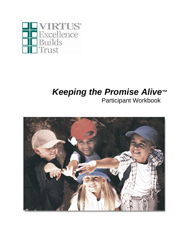

# *Keeping the Promise Alive***™** Participant Workbook

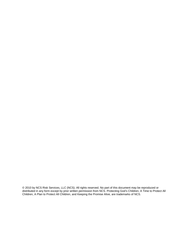© 2010 by NCS Risk Services, LLC (NCS). All rights reserved. No part of this document may be reproduced or distributed in any form except by prior written permission from NCS. Protecting God's Children, A Time to Protect All Children, A Plan to Protect All Children, and Keeping the Promise Alive, are trademarks of NCS.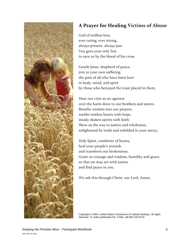

## **A Prayer for Healing Victims of Abuse**

God of endless love, ever caring, ever strong, always present, always just: You gave your only Son to save us by the blood of his cross.

Gentle Jesus, shepherd of peace, join to your own suffering the pain of all who have been hurt in body, mind, and spirit by those who betrayed the trust placed in them.

Hear our cries as we agonize over the harm done to our brothers and sisters. Breathe wisdom into our prayers, soothe restless hearts with hope, steady shaken spirits with faith: Show us the way to justice and wholeness, enlightened by truth and enfolded in your mercy.

Holy Spirit, comforter of hearts, heal your people's wounds and transform our brokenness. Grant us courage and wisdom, humility and grace, so that we may act with justice and find peace in you.

We ask this through Christ, our Lord. Amen.

Copyright © 2004, United States Conference of Catholic Bishops. All rights reserved. To order publication No. 5-506, call 800-235-8722.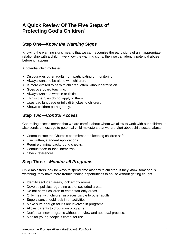## **A Quick Review Of The Five Steps of Protecting God's Children**®

## **Step One—***Know the Warning Signs*

Knowing the warning signs means that we can recognize the early signs of an inappropriate relationship with a child. If we know the warning signs, then we can identify potential abuse before it happens.

A potential child molester:

- Discourages other adults from participating or monitoring.
- Always wants to be alone with children.
- **IF** Is more excited to be with children, often without permission.
- Goes overboard touching.
- **Always wants to wrestle or tickle.**
- Thinks the rules do not apply to them.
- **Uses bad language or tells dirty jokes to children.**
- Shows children pornography.

## **Step Two—***Control Access*

Controlling access means that we are careful about whom we allow to work with our children. It also sends a message to potential child molesters that we are alert about child sexual abuse.

- **Communicate the Church's commitment to keeping children safe.**
- Use written, standard applications.
- Require criminal background checks.
- Conduct face-to-face interviews.
- Check references.

### **Step Three—***Monitor all Programs*

Child molesters look for ways to spend time alone with children. If they know someone is watching, they have more trouble finding opportunities to abuse without getting caught.

- **If identify secluded areas, lock empty rooms.**
- Develop policies regarding use of secluded areas.
- Do not permit children to enter staff-only areas.
- Only meet with children in places visible to other adults.
- **Supervisors should look in on activities.**
- Make sure enough adults are involved in programs.
- Allows parents to drop in on programs.
- Don't start new programs without a review and approval process.
- **Monitor young people's computer use.**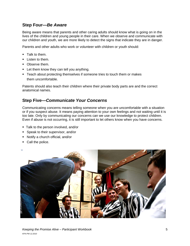## **Step Four—***Be Aware*

Being aware means that parents and other caring adults should know what is going on in the lives of the children and young people in their care. When we observe and communicate with our children and youth, we are more likely to detect the signs that indicate they are in danger.

Parents and other adults who work or volunteer with children or youth should:

- **Talk to them.**
- **Listen to them.**
- Observe them.
- **EXT** Let them know they can tell you anything.
- Teach about protecting themselves if someone tries to touch them or makes them uncomfortable.

Patents should also teach their children where their private body parts are and the correct anatomical names.

## **Step Five—***Communicate Your Concerns*

Communicating concerns means telling someone when you are uncomfortable with a situation or if you suspect abuse. It means paying attention to your own feelings and not waiting until it is too late. Only by communicating our concerns can we use our knowledge to protect children. Even if abuse is not occurring, it is still important to let others know when you have concerns.

- **Talk to the person involved, and/or**
- **Speak to their supervisor, and/or**
- Notify a church official, and/or
- Call the police.

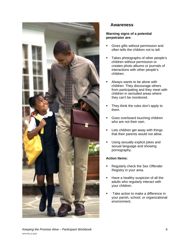

## **Awareness**

### **Warning signs of a potential perpetrator are:**

- **Gives gifts without permission and** often tells the children not to tell.
- Takes photographs of other people's children without permission or creates photo albums or journals of interactions with other people's children.
- Always wants to be alone with children. They discourage others from participating and they meet with children in secluded areas where they can't be monitored.
- They think the rules don't apply to them.
- **Goes overboard touching children** who are not their own.
- Lets children get away with things that their parents would not allow.
- Using sexually explicit jokes and sexual language and showing pornography.

### **Action Items:**

- Regularly check the Sex Offender Registry in your area.
- Have a healthy suspicion of all the adults who regularly interact with your children.
- Take action to make a difference in your parish, school, or organizational environment.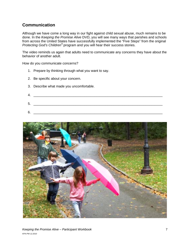## **Communication**

Although we have come a long way in our fight against child sexual abuse, much remains to be done. In the *Keeping the Promise Alive* DVD, you will see many ways that parishes and schools from across the United States have successfully implemented the "Five Steps" from the original *Protecting God's Children®* program and you will hear their success stories.

The video reminds us again that adults need to communicate any concerns they have about the behavior of another adult.

How do you communicate concerns?

- 1. Prepare by thinking through what you want to say.
- 2. Be specific about your concern.
- 3. Describe what made you uncomfortable.
- 4. \_\_\_\_\_\_\_\_\_\_\_\_\_\_\_\_\_\_\_\_\_\_\_\_\_\_\_\_\_\_\_\_\_\_\_\_\_\_\_\_\_\_\_\_\_\_\_\_\_\_\_\_\_\_\_\_\_\_\_\_\_\_\_\_\_\_\_\_ 5. \_\_\_\_\_\_\_\_\_\_\_\_\_\_\_\_\_\_\_\_\_\_\_\_\_\_\_\_\_\_\_\_\_\_\_\_\_\_\_\_\_\_\_\_\_\_\_\_\_\_\_\_\_\_\_\_\_\_\_\_\_\_\_\_\_\_\_\_
- 6. \_\_\_\_\_\_\_\_\_\_\_\_\_\_\_\_\_\_\_\_\_\_\_\_\_\_\_\_\_\_\_\_\_\_\_\_\_\_\_\_\_\_\_\_\_\_\_\_\_\_\_\_\_\_\_\_\_\_\_\_\_\_\_\_\_\_\_\_

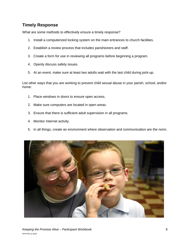## **Timely Response**

What are some methods to effectively ensure a timely response?

- 1. Install a computerized locking system on the main entrances to church facilities.
- 2. Establish a review process that includes parishioners and staff.
- 3. Create a form for use in reviewing all programs before beginning a program.
- 4. Openly discuss safety issues.
- 5. At an event, make sure at least two adults wait with the last child during pick-up.

List other ways that you are working to prevent child sexual abuse in your parish, school, and/or home:

- 1. Place windows in doors to ensure open access.
- 2. Make sure computers are located in open areas.
- 3. Ensure that there is sufficient adult supervision in all programs.
- 4. Monitor Internet activity.
- 5. In all things, create an environment where observation and communication are the norm.

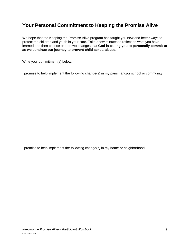## **Your Personal Commitment to Keeping the Promise Alive**

We hope that the Keeping the Promise Alive program has taught you new and better ways to protect the children and youth in your care. Take a few minutes to reflect on what you have learned and then choose one or two changes that **God is calling you to personally commit to as we continue our journey to prevent child sexual abuse**.

Write your commitment(s) below:

I promise to help implement the following change(s) in my parish and/or school or community.

I promise to help implement the following change(s) in my home or neighborhood.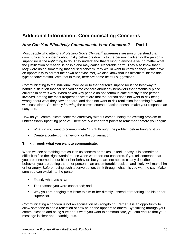## **Additional Information: Communicating Concerns**

### *How Can You Effectively Communicate Your Concerns? —* **Part 1**

Most people who attend a *Protecting God's Children*® awareness session understand that communicating concerns about risky behaviors directly to the person involved or the person's supervisor is the *right* thing to do. They understand that talking to anyone else, no matter what the justification or reason, is gossip and may cause irreparable harm. They also know that if *they* were doing something that caused concern, they would want to know so they would have an opportunity to correct their own behavior. Yet, we also know that it's difficult to initiate this type of conversation. With that in mind, here are some helpful suggestions.

Communicating to the individual involved or to that person's supervisor is the best way to handle a situation that causes you some concern about any behaviors that potentially place children in harm's way. When asked why people do not communicate directly to the person involved, among the most frequent answers are that the person does not want to risk being wrong about what they saw or heard, and does not want to risk retaliation for coming forward with suspicions. So, simply *knowing* the correct course of action doesn't make your response an easy one.

How do you communicate concerns effectively without compounding the existing problem or unnecessarily upsetting people? There are two important points to remember before you begin:

- What do you want to communicate? Think through the problem before bringing it up.
- **Create a context or framework for the conversation.**

#### **Think through what you want to communicate.**

When we see something that causes us concern or makes us feel uneasy, it is sometimes difficult to find the "right words" to use when we report our concerns. If you tell someone that you are concerned about his or her behavior, but you are not able to clearly describe the behavior, you are putting the other person in an uncomfortable position and likely, will make him or her angry. Before having such a conversation, think through what it is you want to say. Make sure you can explain to the person:

- **Exactly what you saw;**
- The reasons you were concerned; and,
- Why you are bringing this issue to him or her directly, instead of reporting it to his or her supervisor.

Communicating a concern is not an accusation of wrongdoing. Rather, it is an opportunity to allow someone to see a reflection of how he or she appears to others. By thinking through your communication and being sure about what you want to communicate, you can ensure that your message is clear and unambiguous.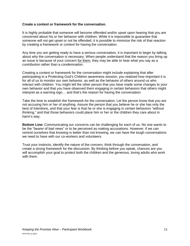#### **Create a context or framework for the conversation.**

It is highly probable that someone will become offended and/or upset upon hearing that you are concerned about his or her behavior with children. While it is impossible to guarantee that someone will not get upset or not be offended, it is possible to minimize the risk of that reaction by creating a framework or context for having the conversation.

Any time you are getting ready to have a serious conversation, it is important to begin by talking about *why* the conversation is necessary. When people understand that the reason you bring up an issue is because of your concern for them, they may be able to hear what you say as a *contribution* rather than a *condemnation*.

Creating a context or framework for the conversation might include explaining that after participating in a Protecting God's Children awareness session, you realized how important it is for all of us to monitor our own behavior, as well as the behavior of others around us who interact with children. You might tell the other person that you have made some changes to your own behavior and that you have observed them engaging in certain behaviors that others might interpret as a warning sign… and that's the reason for having the conversation.

Take the time to establish the framework for the conversation. Let the person know that you are not accusing him or her of anything. Assure the person that you believe he or she has only the best of intentions, and that your fear is that he or she is engaging in certain behaviors "without thinking," and that those behaviors could place him or her or the children they care about in harm's way.

**Bottom Line:** Communicating our concerns can be challenging for each of us. No one wants to be the "bearer of bad news" or to be perceived as making accusations. However, if we can remind ourselves that *knowing* is better than not knowing, we can have the tough conversations we need to have with our co-workers and volunteers.

Trust your instincts, identify the nature of the concern, think through the conversation, and create a strong framework for the discussion. By thinking before you speak, chances are you will accomplish your goal to protect both the children and the generous, loving adults who work with them.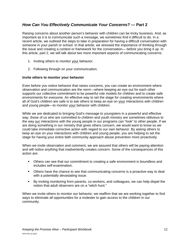### *How Can You Effectively Communicate Your Concerns? —* **Part 2**

Raising concerns about another person's behavior with children can be tricky business. And, as important as it is to communicate such a message, we sometimes find it difficult to do. In a recent article, we outlined the steps to take in preparation for having a difficult conversation with someone in your parish or school. In that article, we stressed the importance of thinking through the issue and creating a context or framework for the conversation— before you bring it up. In this article, part 2, we will talk about two more important aspects of communicating concerns:

- 1. Inviting others to monitor your behavior.
- 2. Following through on your communication.

#### **Invite others to monitor your behavior**

Even before you notice behavior that raises concerns, you can create an environment where observation and communication are the norm—where keeping an eye out for each other supports our collective commitment to be powerful role models for children and to create safe environments for everyone. An effective way to set the stage for creating environments where all of God's children are safe is to ask others to keep an eye on your interactions with children and young people—to monitor your behavior with children.

While we are dedicated to bringing God's message to youngsters in a powerful and effective way, those of us who are committed to children and youth ministry are sometimes oblivious to the way our interactions with the young people in our programs can "look" to other people. If we are doing something in our ministry that gives others concern, we would want to know so we could take immediate corrective action with regard to our own behavior. By asking others to keep an eye on your interactions with children and young people, you are helping to set the stage for having your entire faith community approach abuse prevention more proactively.

When we invite observation and comment, we are assured that others will be paying attention and will notice anything that inadvertently creates concern. Some of the consequences of this action are:

- Others can see that our commitment to creating a safe environment is boundless and includes self-examination.
- Others have the chance to see that communicating concerns is a proactive way to deal with a potentially devastating issue.
- By inviting monitoring from parents, co-workers, and colleagues, we can help dispel the notion that adult observers are on a "witch hunt."

When we invite others to monitor our behavior, we reaffirm that we are working together to find ways to eliminate all opportunities for a molester to gain access to the children in our community.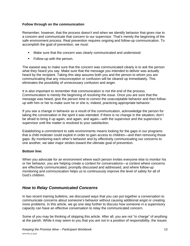#### **Follow through on the communication**

Remember, however, that the process doesn't end when we identify behavior that gives rise to a concern and communicate that concern to our supervisor. That's merely the beginning of the safe environment process. Real prevention requires ongoing and follow-up communication. To accomplish the goal of prevention, we must:

- Make sure that the concern was clearly communicated and understood.
- **Follow-up with the person.**

The easiest way to make sure that the concern was communicated clearly is to ask the person what they heard you say. Make sure that the message you intended to deliver was actually heard by the recipient. Taking this step assures both you and the person to whom you are communicating that any misconception or confusion will be cleared up immediately. This eliminates the possibility of unnecessary confusion and anger.

It is also important to remember that communication is not the end of the process. Communication is merely the beginning of *resolving* the issue. Once you are sure that the message was heard, give the person time to correct the unacceptable behavior and then followup with him or her to make sure he or she is, indeed, practicing appropriate behavior.

If you see a change in behavior as a result of the communication, acknowledge the person for taking the conversation in the spirit it was intended. If there is no change in the situation, don't be afraid to bring it up again, and again, and again—with the supervisor and the supervisor's supervisor until the matter is resolved to your satisfaction.

Establishing a commitment to safe environments means looking for the gaps in our programs that a child molester could exploit in order to gain access to children—and then removing those gaps. By monitoring each other's behavior and by effectively communicating our concerns to one another, we take major strides toward the ultimate goal of prevention.

### **Bottom line:**

When you advocate for an environment where each person invites everyone else to monitor his or her behavior, you are helping create a context for conversations—a context where concerns are effectively communicated, promptly discussed and addressed, and where follow-up monitoring and communication helps us to continuously improve the level of safety for all of God's children.

### *How to Relay Communicated Concerns*

In two recent training bulletins, we discussed ways that you can put together a conversation to communicate concerns about someone's behavior without causing additional angst or creating more problems. In this article, we go one step further to discuss how someone in a supervisory capacity can have an effective conversation to relay the communicated concern.

Some of you may be thinking of skipping this article. After all, you are not "in charge" of anything at the parish. While it may seem to you that you are not in a position of responsibility, the issues